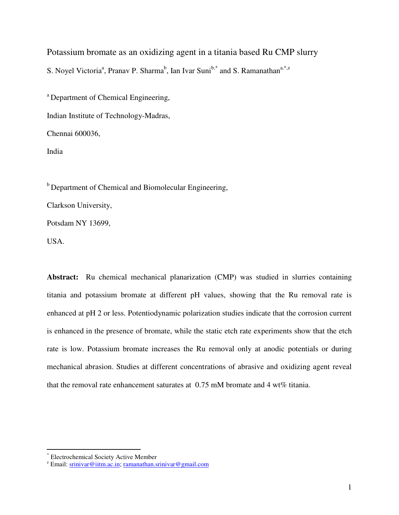Potassium bromate as an oxidizing agent in a titania based Ru CMP slurry S. Noyel Victoria<sup>a</sup>, Pranav P. Sharma<sup>b</sup>, Ian Ivar Suni<sup>b,\*</sup> and S. Ramanathan<sup>a,\*,z</sup>

<sup>a</sup> Department of Chemical Engineering,

Indian Institute of Technology-Madras,

Chennai 600036,

India

<sup>b</sup> Department of Chemical and Biomolecular Engineering,

Clarkson University,

Potsdam NY 13699,

USA.

-

**Abstract:** Ru chemical mechanical planarization (CMP) was studied in slurries containing titania and potassium bromate at different pH values, showing that the Ru removal rate is enhanced at pH 2 or less. Potentiodynamic polarization studies indicate that the corrosion current is enhanced in the presence of bromate, while the static etch rate experiments show that the etch rate is low. Potassium bromate increases the Ru removal only at anodic potentials or during mechanical abrasion. Studies at different concentrations of abrasive and oxidizing agent reveal that the removal rate enhancement saturates at  $0.75$  mM bromate and 4 wt% titania.

<sup>\*</sup> Electrochemical Society Active Member

<sup>&</sup>lt;sup>z</sup> Email: srinivar@iitm.ac.in; ramanathan.srinivar@gmail.com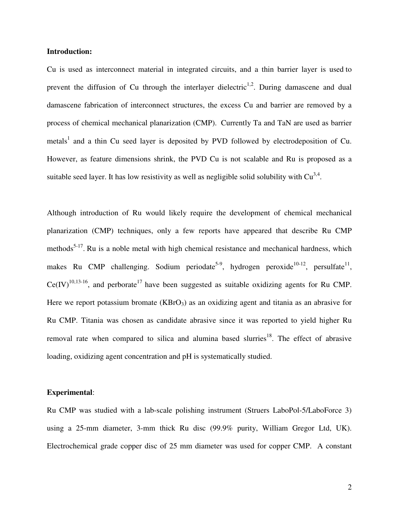## **Introduction:**

Cu is used as interconnect material in integrated circuits, and a thin barrier layer is used to prevent the diffusion of Cu through the interlayer dielectric<sup>1,2</sup>. During damascene and dual damascene fabrication of interconnect structures, the excess Cu and barrier are removed by a process of chemical mechanical planarization (CMP). Currently Ta and TaN are used as barrier metals<sup>1</sup> and a thin Cu seed layer is deposited by PVD followed by electrodeposition of Cu. However, as feature dimensions shrink, the PVD Cu is not scalable and Ru is proposed as a suitable seed layer. It has low resistivity as well as negligible solid solubility with  $Cu^{3,4}$ .

Although introduction of Ru would likely require the development of chemical mechanical planarization (CMP) techniques, only a few reports have appeared that describe Ru CMP methods<sup>5-17</sup>. Ru is a noble metal with high chemical resistance and mechanical hardness, which makes Ru CMP challenging. Sodium periodate<sup>5-9</sup>, hydrogen peroxide<sup>10-12</sup>, persulfate<sup>11</sup>,  $Ce(IV)^{10,13-16}$ , and perborate<sup>17</sup> have been suggested as suitable oxidizing agents for Ru CMP. Here we report potassium bromate  $(KBrO<sub>3</sub>)$  as an oxidizing agent and titania as an abrasive for Ru CMP. Titania was chosen as candidate abrasive since it was reported to yield higher Ru removal rate when compared to silica and alumina based slurries<sup>18</sup>. The effect of abrasive loading, oxidizing agent concentration and pH is systematically studied.

## **Experimental**:

Ru CMP was studied with a lab-scale polishing instrument (Struers LaboPol-5/LaboForce 3) using a 25-mm diameter, 3-mm thick Ru disc (99.9% purity, William Gregor Ltd, UK). Electrochemical grade copper disc of 25 mm diameter was used for copper CMP. A constant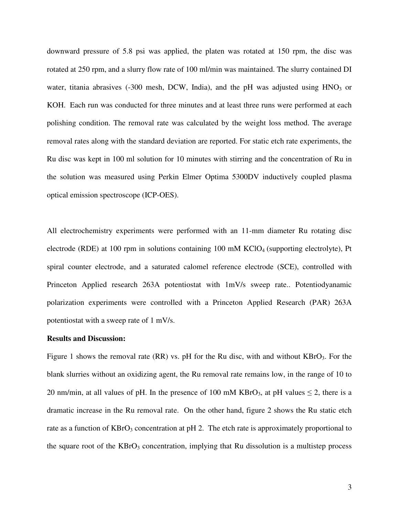downward pressure of 5.8 psi was applied, the platen was rotated at 150 rpm, the disc was rotated at 250 rpm, and a slurry flow rate of 100 ml/min was maintained. The slurry contained DI water, titania abrasives (-300 mesh, DCW, India), and the pH was adjusted using  $HNO<sub>3</sub>$  or KOH. Each run was conducted for three minutes and at least three runs were performed at each polishing condition. The removal rate was calculated by the weight loss method. The average removal rates along with the standard deviation are reported. For static etch rate experiments, the Ru disc was kept in 100 ml solution for 10 minutes with stirring and the concentration of Ru in the solution was measured using Perkin Elmer Optima 5300DV inductively coupled plasma optical emission spectroscope (ICP-OES).

All electrochemistry experiments were performed with an 11-mm diameter Ru rotating disc electrode (RDE) at 100 rpm in solutions containing 100 mM  $KClO<sub>4</sub>$  (supporting electrolyte), Pt spiral counter electrode, and a saturated calomel reference electrode (SCE), controlled with Princeton Applied research 263A potentiostat with 1mV/s sweep rate.. Potentiodyanamic polarization experiments were controlled with a Princeton Applied Research (PAR) 263A potentiostat with a sweep rate of 1 mV/s.

#### **Results and Discussion:**

Figure 1 shows the removal rate  $(RR)$  vs. pH for the Ru disc, with and without  $KBrO<sub>3</sub>$ . For the blank slurries without an oxidizing agent, the Ru removal rate remains low, in the range of 10 to 20 nm/min, at all values of pH. In the presence of 100 mM KBrO<sub>3</sub>, at pH values  $\leq$  2, there is a dramatic increase in the Ru removal rate. On the other hand, figure 2 shows the Ru static etch rate as a function of  $KBrO<sub>3</sub>$  concentration at pH 2. The etch rate is approximately proportional to the square root of the  $KBrO<sub>3</sub>$  concentration, implying that Ru dissolution is a multistep process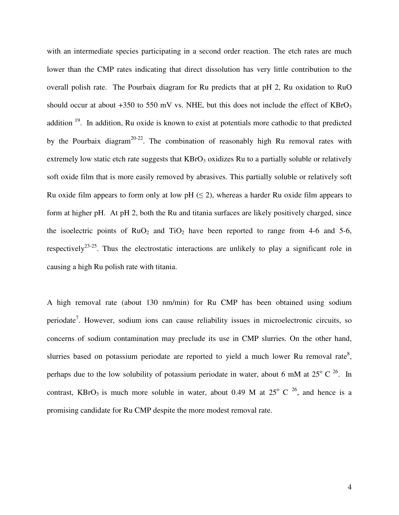with an intermediate species participating in a second order reaction. The etch rates are much lower than the CMP rates indicating that direct dissolution has very little contribution to the overall polish rate. The Pourbaix diagram for Ru predicts that at pH 2, Ru oxidation to RuO should occur at about  $+350$  to 550 mV vs. NHE, but this does not include the effect of KBrO<sub>3</sub> addition <sup>19</sup>. In addition, Ru oxide is known to exist at potentials more cathodic to that predicted by the Pourbaix diagram<sup>20-22</sup>. The combination of reasonably high Ru removal rates with extremely low static etch rate suggests that  $KBrO<sub>3</sub>$  oxidizes Ru to a partially soluble or relatively soft oxide film that is more easily removed by abrasives. This partially soluble or relatively soft Ru oxide film appears to form only at low pH  $(\leq 2)$ , whereas a harder Ru oxide film appears to form at higher pH. At pH 2, both the Ru and titania surfaces are likely positively charged, since the isoelectric points of  $RuO<sub>2</sub>$  and  $TiO<sub>2</sub>$  have been reported to range from 4-6 and 5-6, respectively<sup>23-25</sup>. Thus the electrostatic interactions are unlikely to play a significant role in causing a high Ru polish rate with titania.

A high removal rate (about 130 nm/min) for Ru CMP has been obtained using sodium periodate<sup>7</sup>. However, sodium ions can cause reliability issues in microelectronic circuits, so concerns of sodium contamination may preclude its use in CMP slurries. On the other hand, slurries based on potassium periodate are reported to yield a much lower Ru removal rate<sup>8</sup>, perhaps due to the low solubility of potassium periodate in water, about 6 mM at  $25^{\circ}$  C  $2^{\circ}$ . In contrast, KBrO<sub>3</sub> is much more soluble in water, about 0.49 M at  $25^{\circ}$  C  $2^{\circ}$ , and hence is a promising candidate for Ru CMP despite the more modest removal rate.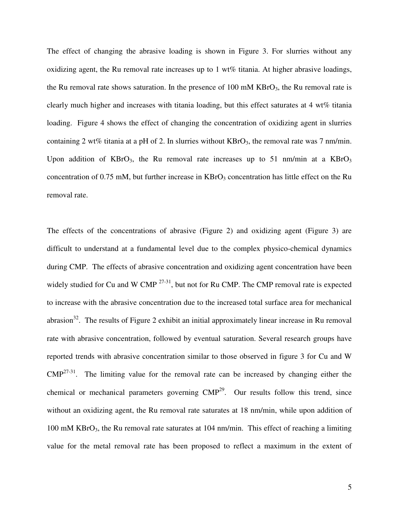The effect of changing the abrasive loading is shown in Figure 3. For slurries without any oxidizing agent, the Ru removal rate increases up to  $1 \text{ wt\%}$  titania. At higher abrasive loadings, the Ru removal rate shows saturation. In the presence of 100 mM  $KBrO<sub>3</sub>$ , the Ru removal rate is clearly much higher and increases with titania loading, but this effect saturates at 4 wt% titania loading. Figure 4 shows the effect of changing the concentration of oxidizing agent in slurries containing 2 wt% titania at a pH of 2. In slurries without  $KBrO<sub>3</sub>$ , the removal rate was 7 nm/min. Upon addition of  $KBrO<sub>3</sub>$ , the Ru removal rate increases up to 51 nm/min at a  $KBrO<sub>3</sub>$ concentration of  $0.75$  mM, but further increase in  $KBrO<sub>3</sub>$  concentration has little effect on the Ru removal rate.

The effects of the concentrations of abrasive (Figure 2) and oxidizing agent (Figure 3) are difficult to understand at a fundamental level due to the complex physico-chemical dynamics during CMP. The effects of abrasive concentration and oxidizing agent concentration have been widely studied for Cu and W CMP <sup>27-31</sup>, but not for Ru CMP. The CMP removal rate is expected to increase with the abrasive concentration due to the increased total surface area for mechanical abrasion<sup>32</sup>. The results of Figure 2 exhibit an initial approximately linear increase in Ru removal rate with abrasive concentration, followed by eventual saturation. Several research groups have reported trends with abrasive concentration similar to those observed in figure 3 for Cu and W  $\text{CMP}^{27-31}$ . The limiting value for the removal rate can be increased by changing either the chemical or mechanical parameters governing  $\text{CMP}^{29}$ . Our results follow this trend, since without an oxidizing agent, the Ru removal rate saturates at 18 nm/min, while upon addition of 100 mM  $KBrO<sub>3</sub>$ , the Ru removal rate saturates at 104 nm/min. This effect of reaching a limiting value for the metal removal rate has been proposed to reflect a maximum in the extent of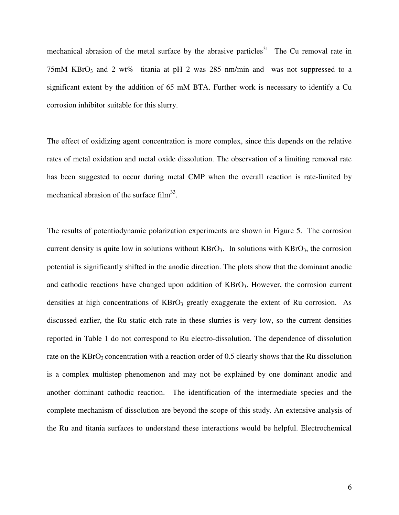mechanical abrasion of the metal surface by the abrasive particles<sup>31</sup> The Cu removal rate in 75mM KBrO<sub>3</sub> and 2 wt% titania at pH 2 was 285 nm/min and was not suppressed to a significant extent by the addition of 65 mM BTA. Further work is necessary to identify a Cu corrosion inhibitor suitable for this slurry.

The effect of oxidizing agent concentration is more complex, since this depends on the relative rates of metal oxidation and metal oxide dissolution. The observation of a limiting removal rate has been suggested to occur during metal CMP when the overall reaction is rate-limited by mechanical abrasion of the surface  $film^{33}$ .

The results of potentiodynamic polarization experiments are shown in Figure 5. The corrosion current density is quite low in solutions without  $KBrO<sub>3</sub>$ . In solutions with  $KBrO<sub>3</sub>$ , the corrosion potential is significantly shifted in the anodic direction. The plots show that the dominant anodic and cathodic reactions have changed upon addition of KBrO3. However, the corrosion current densities at high concentrations of  $KBrO<sub>3</sub>$  greatly exaggerate the extent of Ru corrosion. As discussed earlier, the Ru static etch rate in these slurries is very low, so the current densities reported in Table 1 do not correspond to Ru electro-dissolution. The dependence of dissolution rate on the  $KBrO<sub>3</sub>$  concentration with a reaction order of 0.5 clearly shows that the Ru dissolution is a complex multistep phenomenon and may not be explained by one dominant anodic and another dominant cathodic reaction. The identification of the intermediate species and the complete mechanism of dissolution are beyond the scope of this study. An extensive analysis of the Ru and titania surfaces to understand these interactions would be helpful. Electrochemical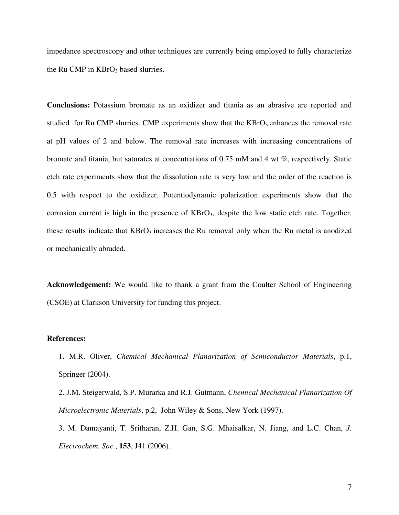impedance spectroscopy and other techniques are currently being employed to fully characterize the Ru CMP in  $KBrO<sub>3</sub>$  based slurries.

**Conclusions:** Potassium bromate as an oxidizer and titania as an abrasive are reported and studied for Ru CMP slurries. CMP experiments show that the  $KBrO<sub>3</sub>$  enhances the removal rate at pH values of 2 and below. The removal rate increases with increasing concentrations of bromate and titania, but saturates at concentrations of 0.75 mM and 4 wt %, respectively. Static etch rate experiments show that the dissolution rate is very low and the order of the reaction is 0.5 with respect to the oxidizer. Potentiodynamic polarization experiments show that the corrosion current is high in the presence of KBrO<sub>3</sub>, despite the low static etch rate. Together, these results indicate that  $KBrO<sub>3</sub>$  increases the Ru removal only when the Ru metal is anodized or mechanically abraded.

**Acknowledgement:** We would like to thank a grant from the Coulter School of Engineering (CSOE) at Clarkson University for funding this project.

## **References:**

- 1. M.R. Oliver, *Chemical Mechanical Planarization of Semiconductor Materials*, p.1, Springer (2004).
- 2. J.M. Steigerwald, S.P. Murarka and R.J. Gutmann, *Chemical Mechanical Planarization Of Microelectronic Materials*, p.2, John Wiley & Sons, New York (1997).
- 3. M. Damayanti, T. Sritharan, Z.H. Gan, S.G. Mhaisalkar, N. Jiang, and L.C. Chan, *J. Electrochem. Soc.*, **153**, J41 (2006).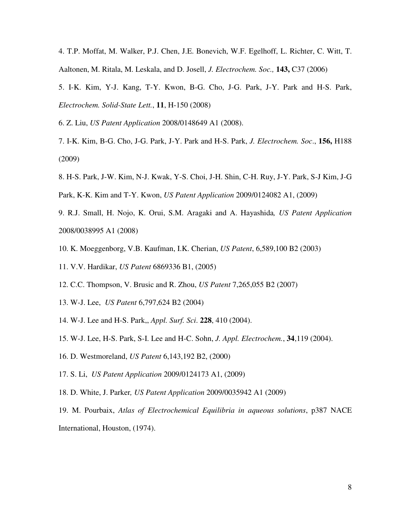4. T.P. Moffat, M. Walker, P.J. Chen, J.E. Bonevich, W.F. Egelhoff, L. Richter, C. Witt, T. Aaltonen, M. Ritala, M. Leskala, and D. Josell, *J. Electrochem. Soc.,* **143,** C37 (2006)

5. I-K. Kim, Y-J. Kang, T-Y. Kwon, B-G. Cho, J-G. Park, J-Y. Park and H-S. Park, *Electrochem. Solid-State Lett.*, **11**, H-150 (2008)

6. Z. Liu, *US Patent Application* 2008/0148649 A1 (2008).

- 7. I-K. Kim, B-G. Cho, J-G. Park, J-Y. Park and H-S. Park, *J. Electrochem. Soc*., **156,** H188 (2009)
- 8. H-S. Park, J-W. Kim, N-J. Kwak, Y-S. Choi, J-H. Shin, C-H. Ruy, J-Y. Park, S-J Kim, J-G
- Park, K-K. Kim and T-Y. Kwon, *US Patent Application* 2009/0124082 A1, (2009)
- 9. R.J. Small, H. Nojo, K. Orui, S.M. Aragaki and A. Hayashida*, US Patent Application* 2008/0038995 A1 (2008)
- 10. K. Moeggenborg, V.B. Kaufman, I.K. Cherian, *US Patent*, 6,589,100 B2 (2003)
- 11. V.V. Hardikar, *US Patent* 6869336 B1, (2005)
- 12. C.C. Thompson, V. Brusic and R. Zhou, *US Patent* 7,265,055 B2 (2007)
- 13. W-J. Lee, *US Patent* 6,797,624 B2 (2004)
- 14. W-J. Lee and H-S. Park,, *Appl. Surf. Sci*. **228**, 410 (2004).
- 15. W-J. Lee, H-S. Park, S-I. Lee and H-C. Sohn, *J. Appl. Electrochem.*, **34**,119 (2004).
- 16. D. Westmoreland, *US Patent* 6,143,192 B2, (2000)
- 17. S. Li, *US Patent Application* 2009/0124173 A1, (2009)
- 18. D. White, J. Parker*, US Patent Application* 2009/0035942 A1 (2009)
- 19. M. Pourbaix, *Atlas of Electrochemical Equilibria in aqueous solutions*, p387 NACE International, Houston, (1974).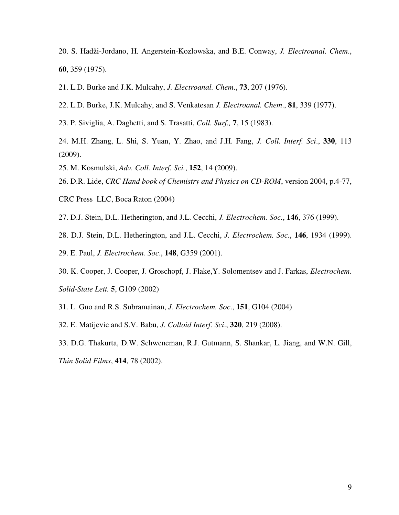- 20. S. Hadži-Jordano, H. Angerstein-Kozlowska, and B.E. Conway, *J. Electroanal. Chem*., **60**, 359 (1975).
- 21. L.D. Burke and J.K. Mulcahy, *J. Electroanal. Chem*., **73**, 207 (1976).
- 22. L.D. Burke, J.K. Mulcahy, and S. Venkatesan *J. Electroanal. Chem*., **81**, 339 (1977).
- 23. P. Siviglia, A. Daghetti, and S. Trasatti, *Coll. Surf.,* **7**, 15 (1983).
- 24. M.H. Zhang, L. Shi, S. Yuan, Y. Zhao, and J.H. Fang, *J. Coll. Interf. Sci*., **330**, 113 (2009).
- 25. M. Kosmulski, *Adv. Coll. Interf. Sci.*, **152**, 14 (2009).
- 26. D.R. Lide, *CRC Hand book of Chemistry and Physics on CD-ROM*, version 2004, p.4-77,
- CRC Press LLC, Boca Raton (2004)
- 27. D.J. Stein, D.L. Hetherington, and J.L. Cecchi, *J. Electrochem. Soc.*, **146**, 376 (1999).
- 28. D.J. Stein, D.L. Hetherington, and J.L. Cecchi, *J. Electrochem. Soc.*, **146**, 1934 (1999).
- 29. E. Paul, *J. Electrochem. Soc*., **148**, G359 (2001).
- 30. K. Cooper, J. Cooper, J. Groschopf, J. Flake,Y. Solomentsev and J. Farkas, *Electrochem. Solid-State Lett.* **5**, G109 (2002)
- 31. L. Guo and R.S. Subramainan, *J. Electrochem. Soc*., **151**, G104 (2004)
- 32. E. Matijevic and S.V. Babu, *J. Colloid Interf. Sci*., **320**, 219 (2008).
- 33. D.G. Thakurta, D.W. Schweneman, R.J. Gutmann, S. Shankar, L. Jiang, and W.N. Gill, *Thin Solid Films*, **414**, 78 (2002).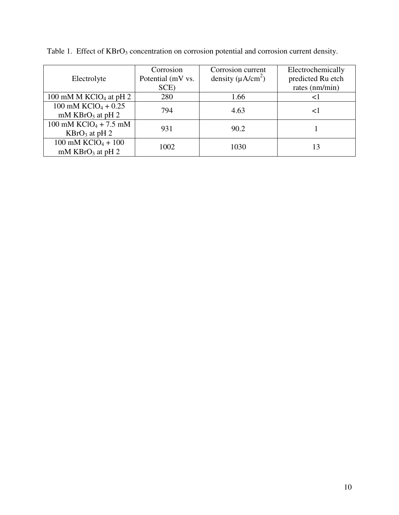| Electrolyte                                              | Corrosion<br>Potential (mV vs.<br>SCE) | Corrosion current<br>density $(\mu A/cm^2)$ | Electrochemically<br>predicted Ru etch<br>rates (nm/min) |
|----------------------------------------------------------|----------------------------------------|---------------------------------------------|----------------------------------------------------------|
| 100 mM M KClO <sub>4</sub> at pH 2                       | 280                                    | 1.66                                        |                                                          |
| 100 mM $KClO4 + 0.25$<br>mM $KBrO3$ at pH 2              | 794                                    | 4.63                                        |                                                          |
| 100 mM $KClO4 + 7.5$ mM<br>$KBrO3$ at pH 2               | 931                                    | 90.2                                        |                                                          |
| $100$ mM KClO <sub>4</sub> + $100$<br>mM $KBrO3$ at pH 2 | 1002                                   | 1030                                        | 13                                                       |

Table 1. Effect of KBrO<sub>3</sub> concentration on corrosion potential and corrosion current density.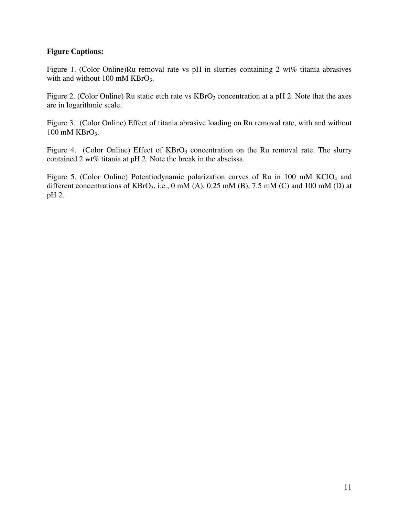# **Figure Captions:**

Figure 1. (Color Online)Ru removal rate vs pH in slurries containing 2 wt% titania abrasives with and without 100 mM KBrO<sub>3</sub>.

Figure 2. (Color Online) Ru static etch rate vs  $KBrO<sub>3</sub>$  concentration at a pH 2. Note that the axes are in logarithmic scale.

Figure 3. (Color Online) Effect of titania abrasive loading on Ru removal rate, with and without 100 mM KBrO<sub>3</sub>.

Figure 4. (Color Online) Effect of  $KBrO<sub>3</sub>$  concentration on the Ru removal rate. The slurry contained 2 wt% titania at pH 2. Note the break in the abscissa.

Figure 5. (Color Online) Potentiodynamic polarization curves of Ru in 100 mM  $KClO<sub>4</sub>$  and different concentrations of  $KBrO<sub>3</sub>$ , i.e., 0 mM (A), 0.25 mM (B), 7.5 mM (C) and 100 mM (D) at pH 2.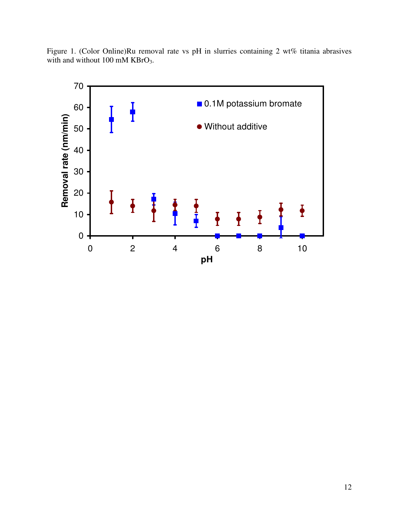

Figure 1. (Color Online)Ru removal rate vs pH in slurries containing 2 wt% titania abrasives with and without 100 mM KBrO<sub>3</sub>.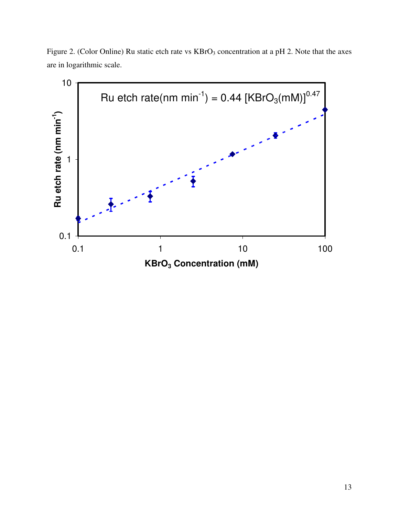Figure 2. (Color Online) Ru static etch rate vs KBrO<sub>3</sub> concentration at a pH 2. Note that the axes are in logarithmic scale.

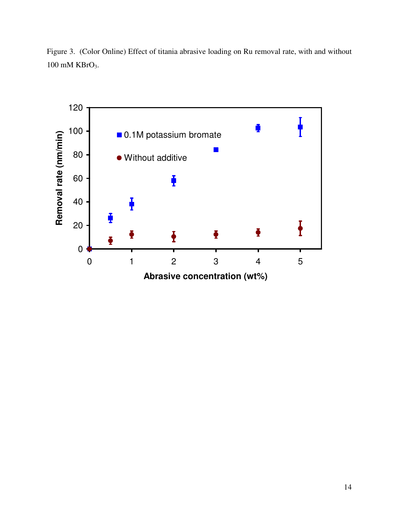Figure 3. (Color Online) Effect of titania abrasive loading on Ru removal rate, with and without 100 mM KBrO3.

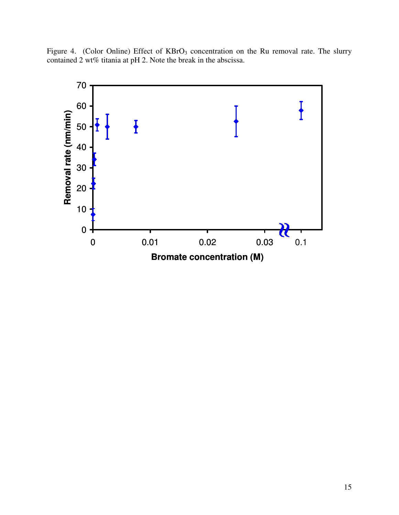Figure 4. (Color Online) Effect of  $KBrO<sub>3</sub>$  concentration on the Ru removal rate. The slurry contained 2 wt% titania at pH 2. Note the break in the abscissa.